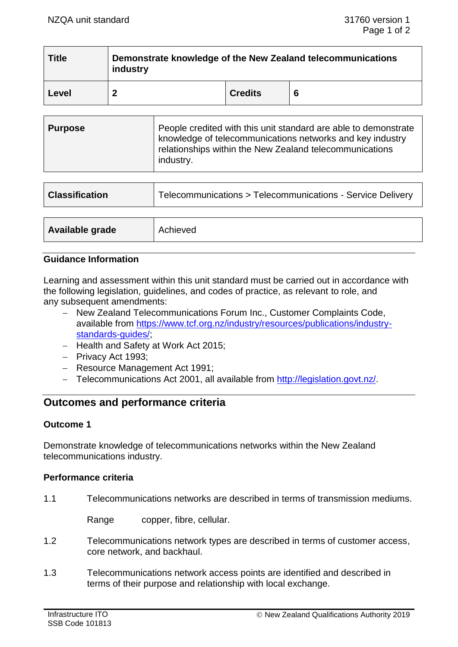| <b>Title</b> | Demonstrate knowledge of the New Zealand telecommunications<br>industry |                |   |
|--------------|-------------------------------------------------------------------------|----------------|---|
| Level        |                                                                         | <b>Credits</b> | 6 |

| <b>Purpose</b> | People credited with this unit standard are able to demonstrate<br>knowledge of telecommunications networks and key industry<br>relationships within the New Zealand telecommunications<br>industry. |
|----------------|------------------------------------------------------------------------------------------------------------------------------------------------------------------------------------------------------|
|----------------|------------------------------------------------------------------------------------------------------------------------------------------------------------------------------------------------------|

| <b>Classification</b> | Telecommunications > Telecommunications - Service Delivery |
|-----------------------|------------------------------------------------------------|
|                       |                                                            |
| Available grade       | Achieved                                                   |

### **Guidance Information**

Learning and assessment within this unit standard must be carried out in accordance with the following legislation, guidelines, and codes of practice, as relevant to role, and any subsequent amendments:

- − New Zealand Telecommunications Forum Inc., Customer Complaints Code, available from [https://www.tcf.org.nz/industry/resources/publications/industry](https://www.tcf.org.nz/industry/resources/publications/industry-standards-guides/)[standards-guides/;](https://www.tcf.org.nz/industry/resources/publications/industry-standards-guides/)
- − Health and Safety at Work Act 2015;
- − Privacy Act 1993;
- − Resource Management Act 1991;
- − Telecommunications Act 2001, all available from [http://legislation.govt.nz/.](http://legislation.govt.nz/)

# **Outcomes and performance criteria**

### **Outcome 1**

Demonstrate knowledge of telecommunications networks within the New Zealand telecommunications industry.

### **Performance criteria**

1.1 Telecommunications networks are described in terms of transmission mediums.

Range copper, fibre, cellular.

- 1.2 Telecommunications network types are described in terms of customer access, core network, and backhaul.
- 1.3 Telecommunications network access points are identified and described in terms of their purpose and relationship with local exchange.